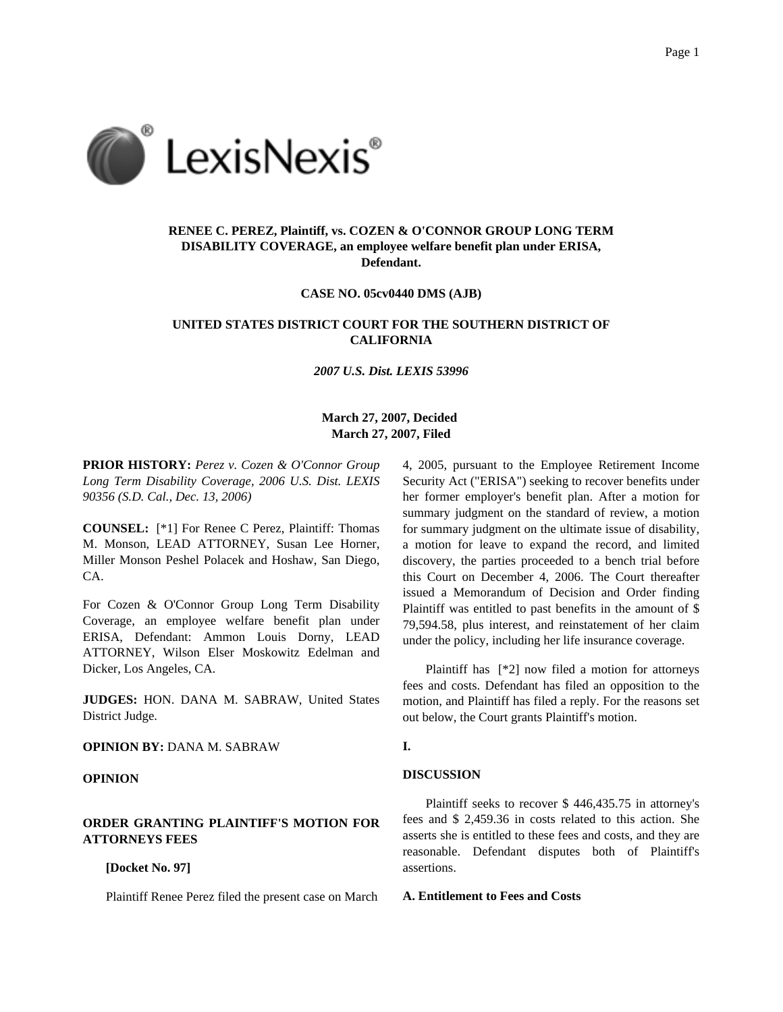

# **RENEE C. PEREZ, Plaintiff, vs. COZEN & O'CONNOR GROUP LONG TERM DISABILITY COVERAGE, an employee welfare benefit plan under ERISA, Defendant.**

**CASE NO. 05cv0440 DMS (AJB)**

# **UNITED STATES DISTRICT COURT FOR THE SOUTHERN DISTRICT OF CALIFORNIA**

*2007 U.S. Dist. LEXIS 53996*

## **March 27, 2007, Decided March 27, 2007, Filed**

**PRIOR HISTORY:** *Perez v. Cozen & O'Connor Group Long Term Disability Coverage, 2006 U.S. Dist. LEXIS 90356 (S.D. Cal., Dec. 13, 2006)*

**COUNSEL:** [\*1] For Renee C Perez, Plaintiff: Thomas M. Monson, LEAD ATTORNEY, Susan Lee Horner, Miller Monson Peshel Polacek and Hoshaw, San Diego, CA.

For Cozen & O'Connor Group Long Term Disability Coverage, an employee welfare benefit plan under ERISA, Defendant: Ammon Louis Dorny, LEAD ATTORNEY, Wilson Elser Moskowitz Edelman and Dicker, Los Angeles, CA.

**JUDGES:** HON. DANA M. SABRAW, United States District Judge.

**OPINION BY:** DANA M. SABRAW

### **OPINION**

## **ORDER GRANTING PLAINTIFF'S MOTION FOR ATTORNEYS FEES**

**[Docket No. 97]**

Plaintiff Renee Perez filed the present case on March

4, 2005, pursuant to the Employee Retirement Income Security Act ("ERISA") seeking to recover benefits under her former employer's benefit plan. After a motion for summary judgment on the standard of review, a motion for summary judgment on the ultimate issue of disability, a motion for leave to expand the record, and limited discovery, the parties proceeded to a bench trial before this Court on December 4, 2006. The Court thereafter issued a Memorandum of Decision and Order finding Plaintiff was entitled to past benefits in the amount of \$ 79,594.58, plus interest, and reinstatement of her claim under the policy, including her life insurance coverage.

Plaintiff has [\*2] now filed a motion for attorneys fees and costs. Defendant has filed an opposition to the motion, and Plaintiff has filed a reply. For the reasons set out below, the Court grants Plaintiff's motion.

## **I.**

# **DISCUSSION**

Plaintiff seeks to recover \$ 446,435.75 in attorney's fees and \$ 2,459.36 in costs related to this action. She asserts she is entitled to these fees and costs, and they are reasonable. Defendant disputes both of Plaintiff's assertions.

### **A. Entitlement to Fees and Costs**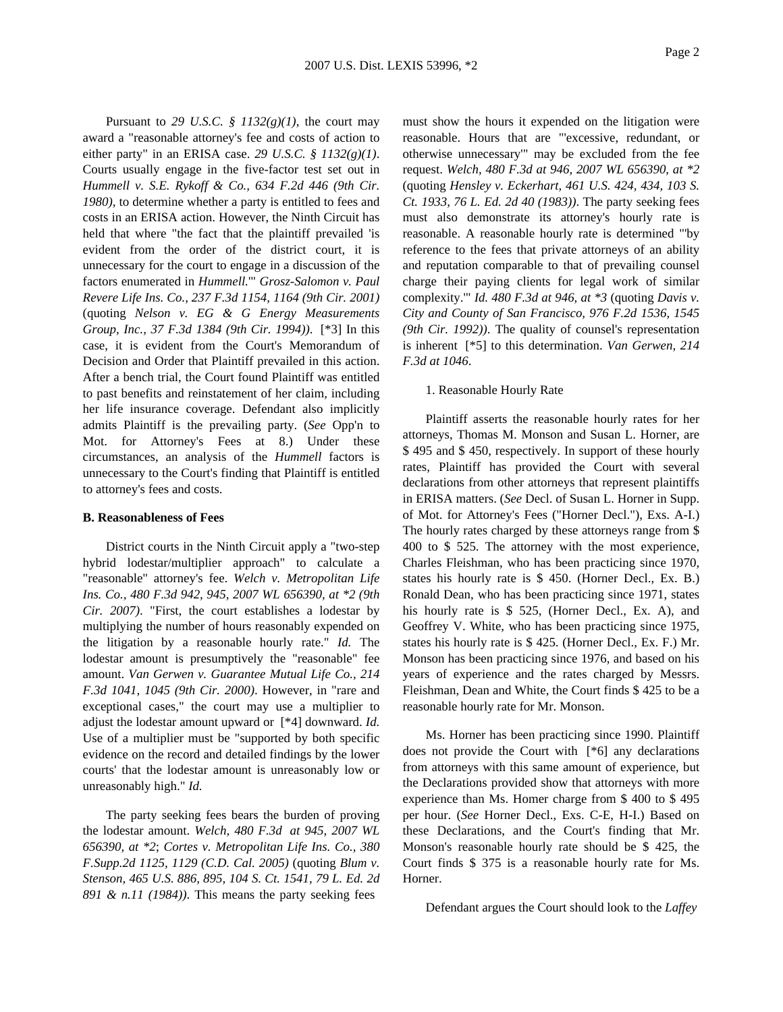Pursuant to 29 U.S.C.  $\frac{8}{3}$  1132(g)(1), the court may award a "reasonable attorney's fee and costs of action to either party" in an ERISA case. *29 U.S.C. § 1132(g)(1)*. Courts usually engage in the five-factor test set out in *Hummell v. S.E. Rykoff & Co., 634 F.2d 446 (9th Cir. 1980)*, to determine whether a party is entitled to fees and costs in an ERISA action. However, the Ninth Circuit has held that where "the fact that the plaintiff prevailed 'is evident from the order of the district court, it is unnecessary for the court to engage in a discussion of the factors enumerated in *Hummell.*'" *Grosz-Salomon v. Paul Revere Life Ins. Co., 237 F.3d 1154, 1164 (9th Cir. 2001)* (quoting *Nelson v. EG & G Energy Measurements Group, Inc., 37 F.3d 1384 (9th Cir. 1994))*. [\*3] In this case, it is evident from the Court's Memorandum of Decision and Order that Plaintiff prevailed in this action. After a bench trial, the Court found Plaintiff was entitled to past benefits and reinstatement of her claim, including her life insurance coverage. Defendant also implicitly admits Plaintiff is the prevailing party. (*See* Opp'n to Mot. for Attorney's Fees at 8.) Under these circumstances, an analysis of the *Hummell* factors is unnecessary to the Court's finding that Plaintiff is entitled to attorney's fees and costs.

### **B. Reasonableness of Fees**

District courts in the Ninth Circuit apply a "two-step hybrid lodestar/multiplier approach" to calculate a "reasonable" attorney's fee. *Welch v. Metropolitan Life Ins. Co., 480 F.3d 942, 945, 2007 WL 656390, at \*2 (9th Cir. 2007)*. "First, the court establishes a lodestar by multiplying the number of hours reasonably expended on the litigation by a reasonable hourly rate." *Id.* The lodestar amount is presumptively the "reasonable" fee amount. *Van Gerwen v. Guarantee Mutual Life Co., 214 F.3d 1041, 1045 (9th Cir. 2000)*. However, in "rare and exceptional cases," the court may use a multiplier to adjust the lodestar amount upward or [\*4] downward. *Id.* Use of a multiplier must be "supported by both specific evidence on the record and detailed findings by the lower courts' that the lodestar amount is unreasonably low or unreasonably high." *Id.*

The party seeking fees bears the burden of proving the lodestar amount. *Welch, 480 F.3d at 945, 2007 WL 656390, at \*2*; *Cortes v. Metropolitan Life Ins. Co., 380 F.Supp.2d 1125, 1129 (C.D. Cal. 2005)* (quoting *Blum v. Stenson, 465 U.S. 886, 895, 104 S. Ct. 1541, 79 L. Ed. 2d 891 & n.11 (1984))*. This means the party seeking fees

must show the hours it expended on the litigation were reasonable. Hours that are "'excessive, redundant, or otherwise unnecessary'" may be excluded from the fee request. *Welch, 480 F.3d at 946, 2007 WL 656390, at \*2* (quoting *Hensley v. Eckerhart, 461 U.S. 424, 434, 103 S. Ct. 1933, 76 L. Ed. 2d 40 (1983))*. The party seeking fees must also demonstrate its attorney's hourly rate is reasonable. A reasonable hourly rate is determined "'by reference to the fees that private attorneys of an ability and reputation comparable to that of prevailing counsel charge their paying clients for legal work of similar complexity.'" *Id. 480 F.3d at 946, at \*3* (quoting *Davis v. City and County of San Francisco, 976 F.2d 1536, 1545 (9th Cir. 1992))*. The quality of counsel's representation is inherent [\*5] to this determination. *Van Gerwen, 214 F.3d at 1046*.

#### 1. Reasonable Hourly Rate

Plaintiff asserts the reasonable hourly rates for her attorneys, Thomas M. Monson and Susan L. Horner, are \$ 495 and \$ 450, respectively. In support of these hourly rates, Plaintiff has provided the Court with several declarations from other attorneys that represent plaintiffs in ERISA matters. (*See* Decl. of Susan L. Horner in Supp. of Mot. for Attorney's Fees ("Horner Decl."), Exs. A-I.) The hourly rates charged by these attorneys range from \$ 400 to \$ 525. The attorney with the most experience, Charles Fleishman, who has been practicing since 1970, states his hourly rate is \$ 450. (Horner Decl., Ex. B.) Ronald Dean, who has been practicing since 1971, states his hourly rate is \$ 525, (Horner Decl., Ex. A), and Geoffrey V. White, who has been practicing since 1975, states his hourly rate is \$ 425. (Horner Decl., Ex. F.) Mr. Monson has been practicing since 1976, and based on his years of experience and the rates charged by Messrs. Fleishman, Dean and White, the Court finds \$ 425 to be a reasonable hourly rate for Mr. Monson.

Ms. Horner has been practicing since 1990. Plaintiff does not provide the Court with [\*6] any declarations from attorneys with this same amount of experience, but the Declarations provided show that attorneys with more experience than Ms. Homer charge from \$ 400 to \$ 495 per hour. (*See* Horner Decl., Exs. C-E, H-I.) Based on these Declarations, and the Court's finding that Mr. Monson's reasonable hourly rate should be \$ 425, the Court finds \$ 375 is a reasonable hourly rate for Ms. Horner.

Defendant argues the Court should look to the *Laffey*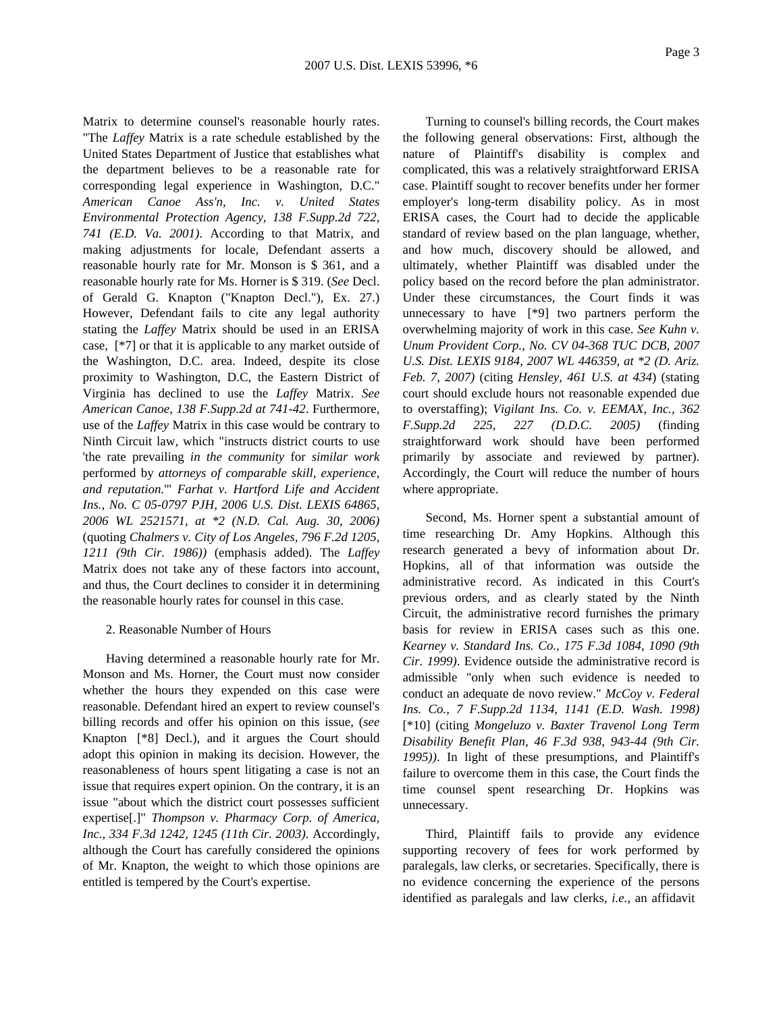Matrix to determine counsel's reasonable hourly rates. "The *Laffey* Matrix is a rate schedule established by the United States Department of Justice that establishes what the department believes to be a reasonable rate for corresponding legal experience in Washington, D.C." *American Canoe Ass'n, Inc. v. United States Environmental Protection Agency, 138 F.Supp.2d 722, 741 (E.D. Va. 2001)*. According to that Matrix, and making adjustments for locale, Defendant asserts a reasonable hourly rate for Mr. Monson is \$ 361, and a reasonable hourly rate for Ms. Horner is \$ 319. (*See* Decl. of Gerald G. Knapton ("Knapton Decl."), Ex. 27.) However, Defendant fails to cite any legal authority stating the *Laffey* Matrix should be used in an ERISA case, [\*7] or that it is applicable to any market outside of the Washington, D.C. area. Indeed, despite its close proximity to Washington, D.C, the Eastern District of Virginia has declined to use the *Laffey* Matrix. *See American Canoe, 138 F.Supp.2d at 741-42*. Furthermore, use of the *Laffey* Matrix in this case would be contrary to Ninth Circuit law, which "instructs district courts to use 'the rate prevailing *in the community* for *similar work* performed by *attorneys of comparable skill, experience, and reputation.*'" *Farhat v. Hartford Life and Accident Ins., No. C 05-0797 PJH, 2006 U.S. Dist. LEXIS 64865, 2006 WL 2521571, at \*2 (N.D. Cal. Aug. 30, 2006)* (quoting *Chalmers v. City of Los Angeles, 796 F.2d 1205, 1211 (9th Cir. 1986))* (emphasis added). The *Laffey* Matrix does not take any of these factors into account, and thus, the Court declines to consider it in determining the reasonable hourly rates for counsel in this case.

#### 2. Reasonable Number of Hours

Having determined a reasonable hourly rate for Mr. Monson and Ms. Horner, the Court must now consider whether the hours they expended on this case were reasonable. Defendant hired an expert to review counsel's billing records and offer his opinion on this issue, (*see* Knapton [\*8] Decl.), and it argues the Court should adopt this opinion in making its decision. However, the reasonableness of hours spent litigating a case is not an issue that requires expert opinion. On the contrary, it is an issue "about which the district court possesses sufficient expertise[.]" *Thompson v. Pharmacy Corp. of America, Inc., 334 F.3d 1242, 1245 (11th Cir. 2003)*. Accordingly, although the Court has carefully considered the opinions of Mr. Knapton, the weight to which those opinions are entitled is tempered by the Court's expertise.

Turning to counsel's billing records, the Court makes the following general observations: First, although the nature of Plaintiff's disability is complex and complicated, this was a relatively straightforward ERISA case. Plaintiff sought to recover benefits under her former employer's long-term disability policy. As in most ERISA cases, the Court had to decide the applicable standard of review based on the plan language, whether, and how much, discovery should be allowed, and ultimately, whether Plaintiff was disabled under the policy based on the record before the plan administrator. Under these circumstances, the Court finds it was unnecessary to have [\*9] two partners perform the overwhelming majority of work in this case. *See Kuhn v. Unum Provident Corp., No. CV 04-368 TUC DCB, 2007 U.S. Dist. LEXIS 9184, 2007 WL 446359, at \*2 (D. Ariz. Feb. 7, 2007)* (citing *Hensley, 461 U.S. at 434*) (stating court should exclude hours not reasonable expended due to overstaffing); *Vigilant Ins. Co. v. EEMAX, Inc., 362 F.Supp.2d 225, 227 (D.D.C. 2005)* (finding straightforward work should have been performed primarily by associate and reviewed by partner). Accordingly, the Court will reduce the number of hours where appropriate.

Second, Ms. Horner spent a substantial amount of time researching Dr. Amy Hopkins. Although this research generated a bevy of information about Dr. Hopkins, all of that information was outside the administrative record. As indicated in this Court's previous orders, and as clearly stated by the Ninth Circuit, the administrative record furnishes the primary basis for review in ERISA cases such as this one. *Kearney v. Standard Ins. Co., 175 F.3d 1084, 1090 (9th Cir. 1999)*. Evidence outside the administrative record is admissible "only when such evidence is needed to conduct an adequate de novo review." *McCoy v. Federal Ins. Co., 7 F.Supp.2d 1134, 1141 (E.D. Wash. 1998)* [\*10] (citing *Mongeluzo v. Baxter Travenol Long Term Disability Benefit Plan, 46 F.3d 938, 943-44 (9th Cir. 1995))*. In light of these presumptions, and Plaintiff's failure to overcome them in this case, the Court finds the time counsel spent researching Dr. Hopkins was unnecessary.

Third, Plaintiff fails to provide any evidence supporting recovery of fees for work performed by paralegals, law clerks, or secretaries. Specifically, there is no evidence concerning the experience of the persons identified as paralegals and law clerks, *i.e.,* an affidavit